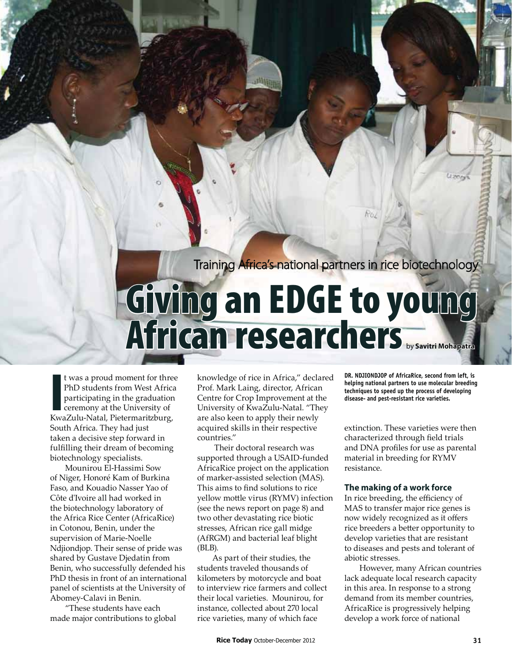Rol

## **African research Chers**<br>where the second from left, is<br>ment for three knowledge of rice in Africa," declared DR. NDJIONDJOP of AfricaRice, second from left, is<br>m West Africa Prof. Mark Laing, director, African  $T$

KwaZulu-Natal, Pietermaritzburg,<br>South Africa. They had just<br>taken a decisive step forward in<br>fulfilling their dream of becoming<br>biotechnology specialists. t was a proud moment for three PhD students from West Africa participating in the graduation ceremony at the University of South Africa. They had just taken a decisive step forward in fulfilling their dream of becoming biotechnology specialists.

Mounirou El-Hassimi Sow of Niger, Honoré Kam of Burkina Faso, and Kouadio Nasser Yao of Côte d'Ivoire all had worked in the biotechnology laboratory of the Africa Rice Center (AfricaRice) in Cotonou, Benin, under the supervision of Marie-Noelle Ndjiondjop. Their sense of pride was shared by Gustave Djedatin from Benin, who successfully defended his PhD thesis in front of an international panel of scientists at the University of Abomey-Calavi in Benin.

"These students have each made major contributions to global knowledge of rice in Africa," declared Prof. Mark Laing, director, African Centre for Crop Improvement at the University of KwaZulu-Natal. "They are also keen to apply their newly acquired skills in their respective countries."

 Their doctoral research was supported through a USAID-funded AfricaRice project on the application of marker-assisted selection (MAS). This aims to find solutions to rice yellow mottle virus (RYMV) infection (see the news report on page 8) and two other devastating rice biotic stresses, African rice gall midge (AfRGM) and bacterial leaf blight (BLB).

As part of their studies, the students traveled thousands of kilometers by motorcycle and boat to interview rice farmers and collect their local varieties. Mounirou, for instance, collected about 270 local rice varieties, many of which face

**DR. NDJIONDJOP of AfricaRice, second from left, is helping national partners to use molecular breeding techniques to speed up the process of developing disease- and pest-resistant rice varieties.**

extinction. These varieties were then characterized through field trials and DNA profiles for use as parental material in breeding for RYMV resistance.

## **The making of a work force**

In rice breeding, the efficiency of MAS to transfer major rice genes is now widely recognized as it offers rice breeders a better opportunity to develop varieties that are resistant to diseases and pests and tolerant of abiotic stresses.

However, many African countries lack adequate local research capacity in this area. In response to a strong demand from its member countries, AfricaRice is progressively helping develop a work force of national